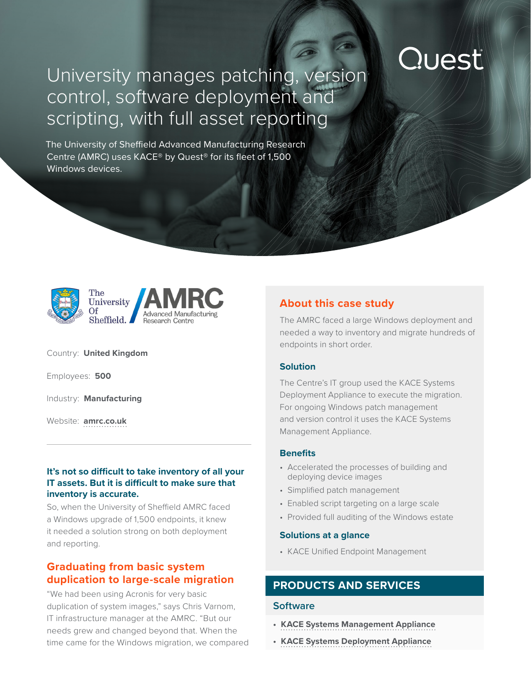## Quest

### University manages patching, version control, software deployment and scripting, with full asset reporting

The University of Sheffield Advanced Manufacturing Research Centre (AMRC) uses KACE® by Quest® for its fleet of 1,500 Windows devices.





Country: **United Kingdom**

Employees: **500**

Industry: **Manufacturing**

Website: **[amrc.co.uk](https://www.amrc.co.uk/)**

#### **It's not so difficult to take inventory of all your IT assets. But it is difficult to make sure that inventory is accurate.**

So, when the University of Sheffield AMRC faced a Windows upgrade of 1,500 endpoints, it knew it needed a solution strong on both deployment and reporting.

#### **Graduating from basic system duplication to large-scale migration**

"We had been using Acronis for very basic duplication of system images," says Chris Varnom, IT infrastructure manager at the AMRC. "But our needs grew and changed beyond that. When the time came for the Windows migration, we compared

#### **About this case study**

The AMRC faced a large Windows deployment and needed a way to inventory and migrate hundreds of endpoints in short order.

#### **Solution**

The Centre's IT group used the KACE Systems Deployment Appliance to execute the migration. For ongoing Windows patch management and version control it uses the KACE Systems Management Appliance.

#### **Benefits**

- Accelerated the processes of building and deploying device images
- Simplified patch management
- Enabled script targeting on a large scale
- Provided full auditing of the Windows estate

#### **Solutions at a glance**

• KACE Unified Endpoint Management

#### **PRODUCTS AND SERVICES**

#### **Software**

- **• [KACE Systems Management Appliance](https://www.quest.com/products/kace-systems-management-appliance/)**
- **• [KACE Systems Deployment Appliance](https://www.quest.com/products/kace-systems-deployment-appliance/)**